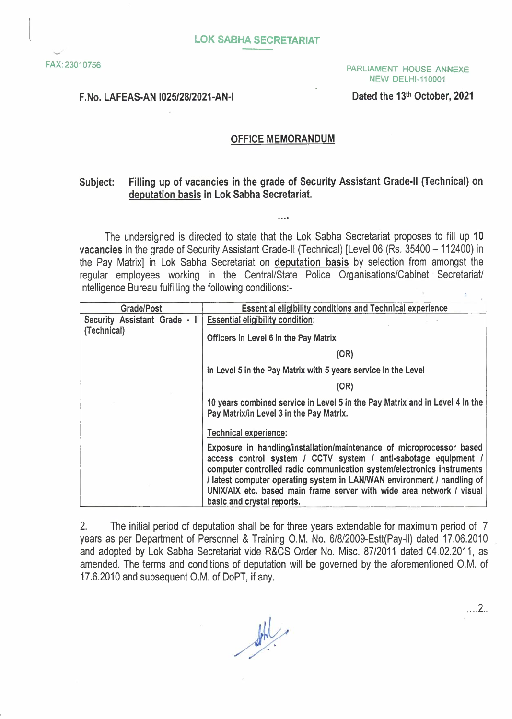#### PARLIAMENT HOUSE ANNEXE NEW DELHl-110001

#### F.No. LAFEAS-AN 1025/28/2021-AN-I

Dated the 13th October, 2021

### **OFFICE MEMORANDUM**

## **Subject: Filling up of vacancies in the grade of Security Assistant Grade-II (Technical) on deputation basis in Lok Sabha Secretariat.**

 $\cdots$ 

The undersigned is directed to state that the Lok Sabha Secretariat proposes to fill up **10 vacancies** in the grade of Security Assistant Grade-II (Technical) [Level 06 (Rs. 35400 - 112400) in the Pay Matrix] in Lok Sabha Secretariat on **deputation basis** by selection from amongst the regular employees working in the Central/State Police Organisations/Cabinet Secretariat/ Intelligence Bureau fulfilling the following conditions:-

| Grade/Post                    | Essential eligibility conditions and Technical experience                                                                                                                                                                                                                                                                                                                                            |
|-------------------------------|------------------------------------------------------------------------------------------------------------------------------------------------------------------------------------------------------------------------------------------------------------------------------------------------------------------------------------------------------------------------------------------------------|
| Security Assistant Grade - II | <b>Essential eligibility condition:</b>                                                                                                                                                                                                                                                                                                                                                              |
| (Technical)                   | Officers in Level 6 in the Pay Matrix                                                                                                                                                                                                                                                                                                                                                                |
|                               | (OR)                                                                                                                                                                                                                                                                                                                                                                                                 |
|                               | in Level 5 in the Pay Matrix with 5 years service in the Level                                                                                                                                                                                                                                                                                                                                       |
|                               | (OR)                                                                                                                                                                                                                                                                                                                                                                                                 |
|                               | 10 years combined service in Level 5 in the Pay Matrix and in Level 4 in the<br>Pay Matrix/in Level 3 in the Pay Matrix.                                                                                                                                                                                                                                                                             |
|                               | <b>Technical experience:</b>                                                                                                                                                                                                                                                                                                                                                                         |
|                               | Exposure in handling/installation/maintenance of microprocessor based<br>access control system / CCTV system / anti-sabotage equipment /<br>computer controlled radio communication system/electronics instruments<br>/ latest computer operating system in LAN/WAN environment / handling of<br>UNIX/AIX etc. based main frame server with wide area network / visual<br>basic and crystal reports. |

2. The initial period of deputation shall be for three years extendable for maximum period of 7 years as per Department of Personnel & Training O.M. No. 6/8/2009-Estt(Pay-ll) dated 17.06.2010 and adopted by Lok Sabha Secretariat vide R&CS Order No. Misc. 87/2011 dated 04.02.2011, as amended. The terms and conditions of deputation will be governed by the aforementioned O.M. of 17.6.2010 and subsequent O.M. of DoPT, if any.

 $\frac{d\mu}{d\lambda}$ 

. . . . . 2. .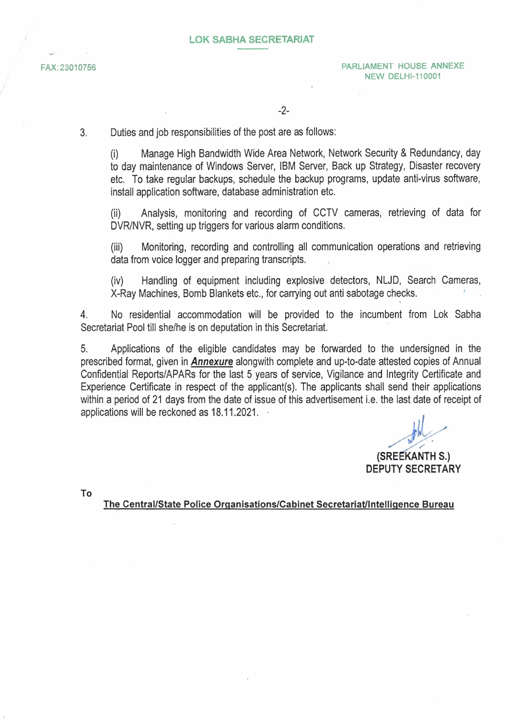3. Duties and job responsibilities of the post are as follows:

(i) Manage High Bandwidth Wide Area Network, Network Security & Redundancy, day to day maintenance of Windows Server, IBM Server, Back up Strategy, Disaster recovery etc. To take regular backups, schedule the backup programs, update anti-virus software, install application software, database administration etc.

(ii) Analysis, monitoring and recording of CCTV cameras, retrieving of data for DVR/NVR, setting up triggers for various alarm conditions.

(iii) Monitoring, recording and controlling all communication operations and retrieving data from voice logger and preparing transcripts.

(iv) Handling of equipment including explosive detectors, NLJD, Search Cameras, X-Ray Machines, Bomb Blankets etc., for carrying out anti sabotage checks.

' 4. No residential accommodation will be provided to the incumbent from Lok Sabha Secretariat Pool till she/he is on deputation in this Secretariat.

5. Applications of the eligible candidates may be forwarded to the undersigned in the prescribed format, given in *Annexure* alongwith complete and up-to-date attested copies of Annual Confidential Reports/APARs for the last 5 years of service, Vigilance and Integrity Certificate and Experience Certificate in respect of the applicant(s). The applicants shall send their applications within a period of 21 days from the date of issue of this advertisement i.e. the last date of receipt of applications will be reckoned as 18.11.2021.

send their ap<br>e last date of<br>and the set of the set of the set of the set of the set of the set of the set of the set of the set of the set of the set of the set of the set of the set of the set of the set of the set of th **(SREEKANTH 5.) DEPUTY SECRETARY** 

**To** 

**The Central/State Police Organisations/Cabinet Secretariat/Intelligence Bureau**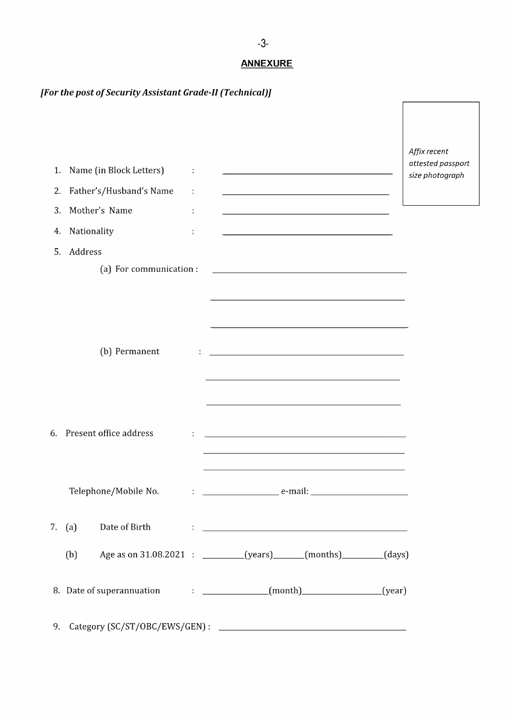# *[For the post of Security Assistant Grade-II (Technical)]*

| 1.<br>2. | Name (in Block Letters)<br>Father's/Husband's Name                     | the control of the control of the control of<br><u> 1989 - Johann Barn, mars eta bainar eta bainar eta baina eta baina eta baina eta baina eta baina eta baina e</u> |                                                                                                                                                                                                                                                                                                                                       | Affix recent<br>attested passport<br>size photograph |
|----------|------------------------------------------------------------------------|----------------------------------------------------------------------------------------------------------------------------------------------------------------------|---------------------------------------------------------------------------------------------------------------------------------------------------------------------------------------------------------------------------------------------------------------------------------------------------------------------------------------|------------------------------------------------------|
| 3.       | Mother's Name                                                          |                                                                                                                                                                      | <u> 1980 - Johann Barbara, martxa alemaniar arg</u>                                                                                                                                                                                                                                                                                   |                                                      |
| 4.       | Nationality                                                            |                                                                                                                                                                      | <u> 1989 - Johann Barbara, martxa alemaniar a</u>                                                                                                                                                                                                                                                                                     |                                                      |
| 5.       | Address                                                                |                                                                                                                                                                      |                                                                                                                                                                                                                                                                                                                                       |                                                      |
|          | (a) For communication :                                                |                                                                                                                                                                      | <u> 1989 - Johann Stoff, deutscher Stoff, der Stoff, der Stoff, der Stoff, der Stoff, der Stoff, der Stoff, der S</u>                                                                                                                                                                                                                 |                                                      |
|          | (b) Permanent                                                          |                                                                                                                                                                      | <u> 1989 - Johann Barn, mars ann an t-Amhain Aonaich an t-Aonaich an t-Aonaich ann an t-Aonaich ann an t-Aonaich</u><br>and the control of the control of the control of the control of the control of the control of the control of the<br>the control of the control of the control of the control of the control of the control of |                                                      |
|          | 6. Present office address                                              |                                                                                                                                                                      | the control of the control of the control of the control of the control of the control of the control of the control of the control of the control of the control of the control of the control of the control of the control                                                                                                         |                                                      |
|          | Telephone/Mobile No.                                                   | e-mail:                                                                                                                                                              | <u> 1980 - Johann Stein, marwolaethau a bhann an t-Amhair an t-Amhair an t-Amhair an t-Amhair an t-Amhair an t-A</u>                                                                                                                                                                                                                  |                                                      |
|          | 7. $(a)$                                                               |                                                                                                                                                                      | Date of Birth Fig. 2014. The contract of Birth St. 2014. The contract of Birth St. 2014. The contract of the contract of the contract of the contract of the contract of the contract of the contract of the contract of the c                                                                                                        |                                                      |
|          | (b)                                                                    |                                                                                                                                                                      | Age as on 31.08.2021 : _______(years)_____(months)______(days)                                                                                                                                                                                                                                                                        |                                                      |
|          | 8. Date of superannuation : ______________(month)_______________(year) |                                                                                                                                                                      |                                                                                                                                                                                                                                                                                                                                       |                                                      |
|          |                                                                        |                                                                                                                                                                      |                                                                                                                                                                                                                                                                                                                                       |                                                      |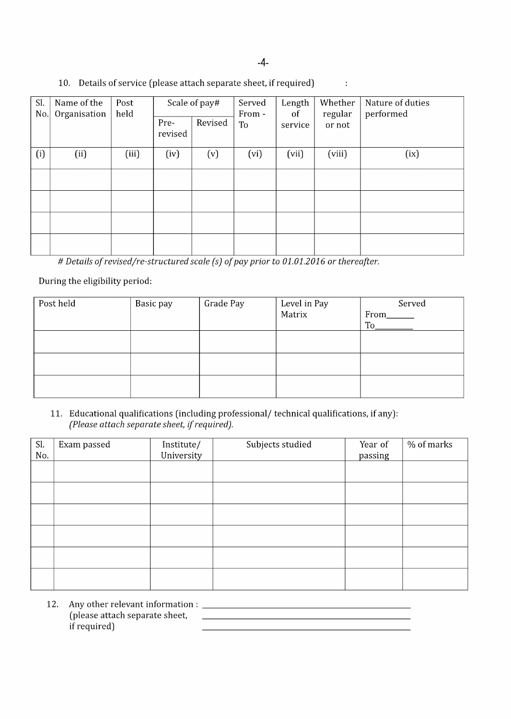| Sl. | Name of the  | Post  |         | Scale of pay# | Served | Length  | Whether | Nature of duties |
|-----|--------------|-------|---------|---------------|--------|---------|---------|------------------|
| No. | Organisation | held  |         |               | From - | of      | regular | performed        |
|     |              |       | Pre-    | Revised       | To     | service | or not  |                  |
|     |              |       | revised |               |        |         |         |                  |
|     |              |       |         |               |        |         |         |                  |
| (i) | (ii)         | (iii) | (iv)    | (v)           | (vi)   | (vii)   | (viii)  | (ix)             |
|     |              |       |         |               |        |         |         |                  |
|     |              |       |         |               |        |         |         |                  |
|     |              |       |         |               |        |         |         |                  |
|     |              |       |         |               |        |         |         |                  |
|     |              |       |         |               |        |         |         |                  |
|     |              |       |         |               |        |         |         |                  |
|     |              |       |         |               |        |         |         |                  |
|     |              |       |         |               |        |         |         |                  |
|     |              |       |         |               |        |         |         |                  |

#### 10. Details of service (please attach separate sheet, if required)  $\ddot{\phantom{a}}$

# *Details of revised/re-structured scale (s) of pay prior to 01.01.2016 or thereafter.* 

During the eligibility period:

| Post held | Basic pay | Grade Pay | Level in Pay<br>Matrix | Served |
|-----------|-----------|-----------|------------------------|--------|
|           |           |           |                        | From   |
|           |           |           |                        | To     |
|           |           |           |                        |        |
|           |           |           |                        |        |
|           |           |           |                        |        |
|           |           |           |                        |        |
|           |           |           |                        |        |
|           |           |           |                        |        |

#### 11. Educational qualifications (including professional/ technical qualifications, if any): *(Please attach separate sheet, if required).*

| Sl.<br>No. | Exam passed | Institute/<br>University | Subjects studied | Year of<br>passing | % of marks |
|------------|-------------|--------------------------|------------------|--------------------|------------|
|            |             |                          |                  |                    |            |
|            |             |                          |                  |                    |            |
|            |             |                          |                  |                    |            |
|            |             |                          |                  |                    |            |
|            |             |                          |                  |                    |            |
|            |             |                          |                  |                    |            |

12. Any other relevant information : \_ (please attach separate sheet, if required)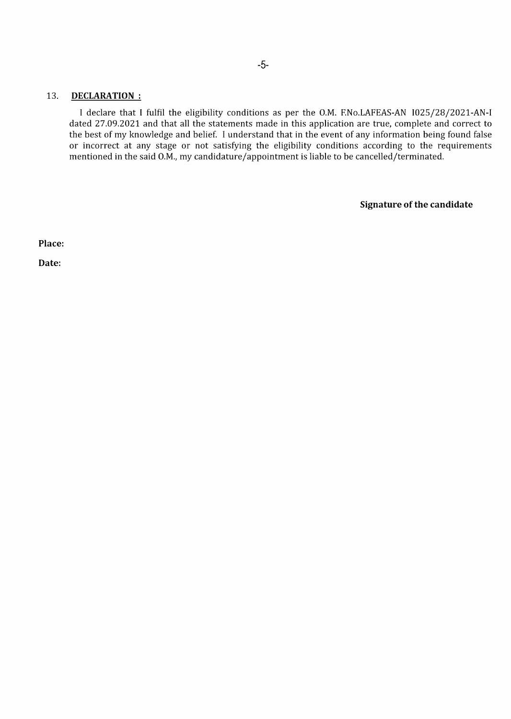#### 13. **DECLARATION :**

I declare that I **fulfil** the eligibility conditions as per the O.M. F.No.LAFEAS-AN l025/28/2021-AN-I dated 27.09.2021 and that all the statements made **in** this application are true, complete and correct to the best of my knowledge and belief. I understand that in the event of any information being found false or incorrect at any stage or not satisfying the eligibility conditions according to the requirements mentioned **in** the said O.M., my candidature/appointment is liable to be cancelled/terminated.

**Signature of the candidate** 

**Place:** 

**Date:**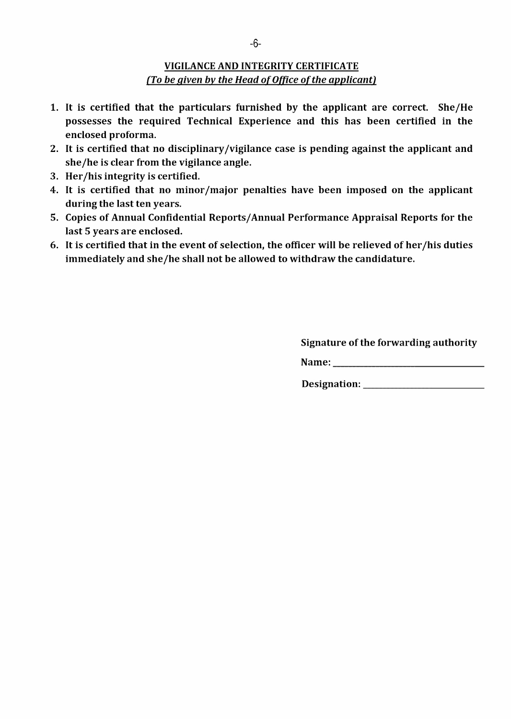# **VIGILANCE AND INTEGRITY CERTIFICATE**  *{To be given by the Head of Office of the applicant}*

- 1. It is certified that the particulars furnished by the applicant are correct. She/He possesses the required Technical Experience and this has been certified in the enclosed proforma.
- 2. It is certified that no disciplinary /vigilance case is pending against the applicant and she/he is clear from the vigilance angle.
- 3. Her /his integrity is certified.
- 4. It is certified that no minor /major penalties have been imposed on the applicant during the last ten years.
- 5. Copies of Annual Confidential Reports/ Annual Performance Appraisal Reports for the last 5 years are enclosed.
- 6. It is certified that in the event of selection, the officer will be relieved of her /his duties immediately and she/he shall not be allowed to withdraw the candidature.

Signature of the forwarding authority

Name: \_

Designation: \_